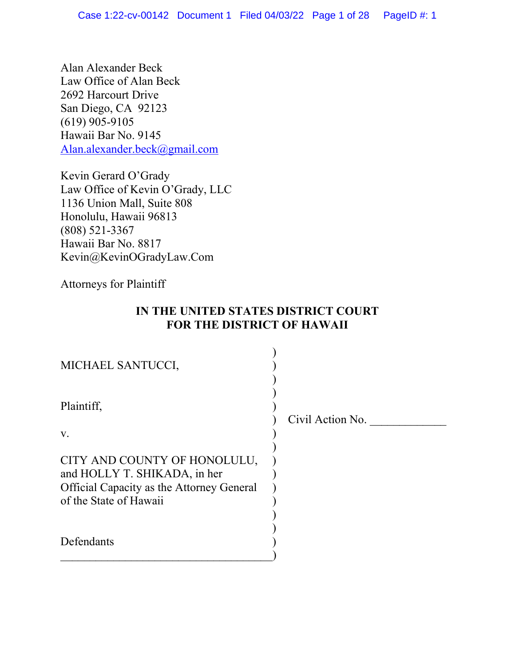Alan Alexander Beck Law Office of Alan Beck 2692 Harcourt Drive San Diego, CA 92123 (619) 905-9105 Hawaii Bar No. 9145 [Alan.alexander.beck@gmail.com](mailto:Alan.alexander.beck@gmail.com)

Kevin Gerard O'Grady Law Office of Kevin O'Grady, LLC 1136 Union Mall, Suite 808 Honolulu, Hawaii 96813 (808) 521-3367 Hawaii Bar No. 8817 Kevin@KevinOGradyLaw.Com

Attorneys for Plaintiff

# **IN THE UNITED STATES DISTRICT COURT FOR THE DISTRICT OF HAWAII**

| MICHAEL SANTUCCI,                                                                                                                          |                  |
|--------------------------------------------------------------------------------------------------------------------------------------------|------------------|
| Plaintiff,<br>$V_{\star}$                                                                                                                  | Civil Action No. |
| CITY AND COUNTY OF HONOLULU,<br>and HOLLY T. SHIKADA, in her<br><b>Official Capacity as the Attorney General</b><br>of the State of Hawaii |                  |
| Defendants                                                                                                                                 |                  |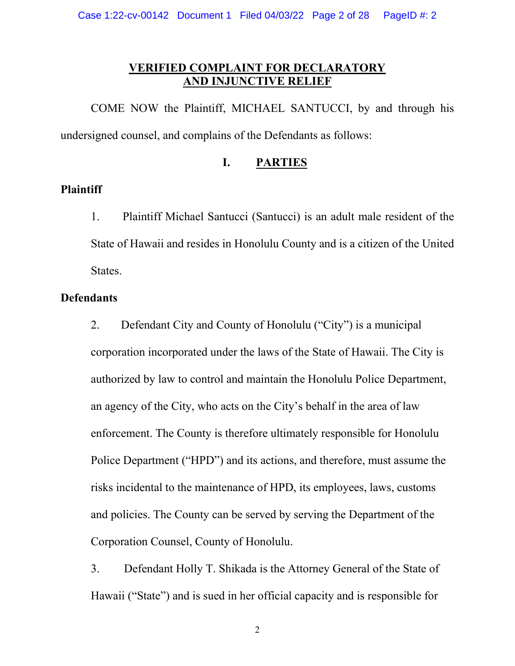## **VERIFIED COMPLAINT FOR DECLARATORY AND INJUNCTIVE RELIEF**

COME NOW the Plaintiff, MICHAEL SANTUCCI, by and through his undersigned counsel, and complains of the Defendants as follows:

### **I. PARTIES**

#### **Plaintiff**

1. Plaintiff Michael Santucci (Santucci) is an adult male resident of the State of Hawaii and resides in Honolulu County and is a citizen of the United States.

# **Defendants**

2. Defendant City and County of Honolulu ("City") is a municipal corporation incorporated under the laws of the State of Hawaii. The City is authorized by law to control and maintain the Honolulu Police Department, an agency of the City, who acts on the City's behalf in the area of law enforcement. The County is therefore ultimately responsible for Honolulu Police Department ("HPD") and its actions, and therefore, must assume the risks incidental to the maintenance of HPD, its employees, laws, customs and policies. The County can be served by serving the Department of the Corporation Counsel, County of Honolulu.

3. Defendant Holly T. Shikada is the Attorney General of the State of Hawaii ("State") and is sued in her official capacity and is responsible for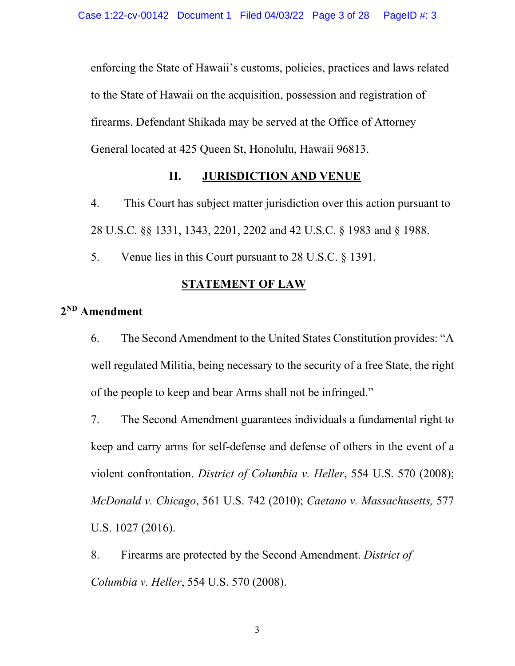enforcing the State of Hawaii's customs, policies, practices and laws related to the State of Hawaii on the acquisition, possession and registration of firearms. Defendant Shikada may be served at the Office of Attorney General located at 425 Queen St, Honolulu, Hawaii 96813.

## **II. JURISDICTION AND VENUE**

4. This Court has subject matter jurisdiction over this action pursuant to 28 U.S.C. §§ 1331, 1343, 2201, 2202 and 42 U.S.C. § 1983 and § 1988.

5. Venue lies in this Court pursuant to 28 U.S.C. § 1391.

# **STATEMENT OF LAW**

# **2ND Amendment**

6. The Second Amendment to the United States Constitution provides: "A well regulated Militia, being necessary to the security of a free State, the right of the people to keep and bear Arms shall not be infringed."

7. The Second Amendment guarantees individuals a fundamental right to keep and carry arms for self-defense and defense of others in the event of a violent confrontation. *District of Columbia v. Heller*, 554 U.S. 570 (2008); *McDonald v. Chicago*, 561 U.S. 742 (2010); *Caetano v. Massachusetts,* 577 U.S. 1027 (2016).

8. Firearms are protected by the Second Amendment. *District of Columbia v. Heller*, 554 U.S. 570 (2008).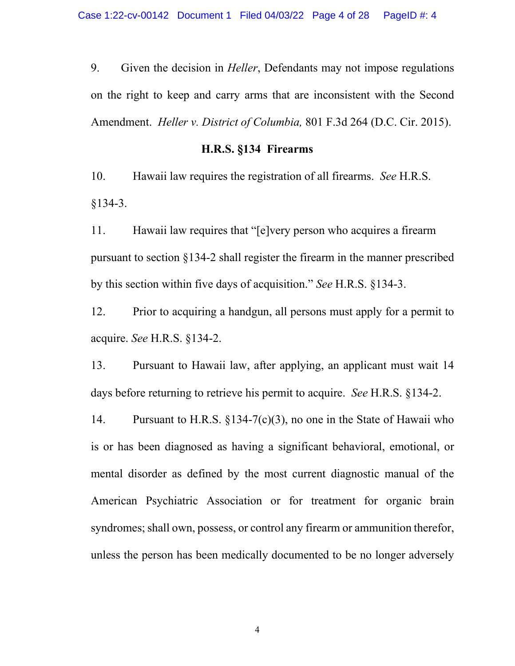9. Given the decision in *Heller*, Defendants may not impose regulations on the right to keep and carry arms that are inconsistent with the Second Amendment. *Heller v. District of Columbia,* 801 F.3d 264 (D.C. Cir. 2015).

### **H.R.S. §134 Firearms**

10. Hawaii law requires the registration of all firearms. *See* H.R.S.  $§134-3.$ 

11. Hawaii law requires that "[e]very person who acquires a firearm pursuant to section §134-2 shall register the firearm in the manner prescribed by this section within five days of acquisition." *See* H.R.S. §134-3.

12. Prior to acquiring a handgun, all persons must apply for a permit to acquire. *See* H.R.S. §134-2.

13. Pursuant to Hawaii law, after applying, an applicant must wait 14 days before returning to retrieve his permit to acquire. *See* H.R.S. §134-2.

14. Pursuant to H.R.S. §134-7(c)(3), no one in the State of Hawaii who is or has been diagnosed as having a significant behavioral, emotional, or mental disorder as defined by the most current diagnostic manual of the American Psychiatric Association or for treatment for organic brain syndromes; shall own, possess, or control any firearm or ammunition therefor, unless the person has been medically documented to be no longer adversely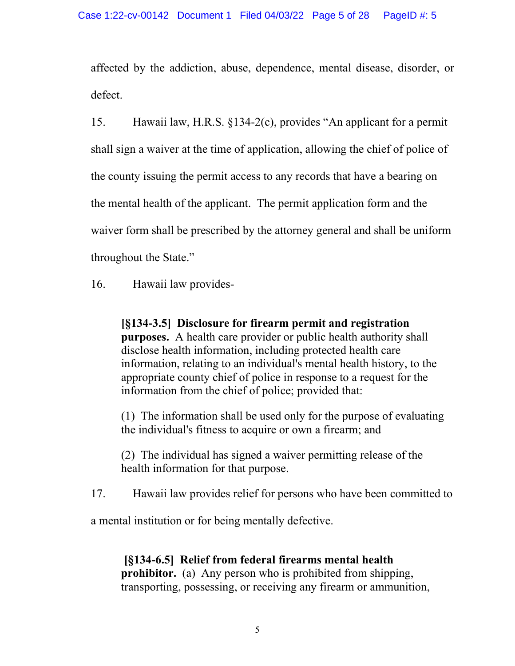affected by the addiction, abuse, dependence, mental disease, disorder, or defect.

15. Hawaii law, H.R.S. §134-2(c), provides "An applicant for a permit shall sign a waiver at the time of application, allowing the chief of police of the county issuing the permit access to any records that have a bearing on the mental health of the applicant. The permit application form and the waiver form shall be prescribed by the attorney general and shall be uniform throughout the State."

16. Hawaii law provides-

**[§134-3.5] Disclosure for firearm permit and registration purposes.** A health care provider or public health authority shall disclose health information, including protected health care information, relating to an individual's mental health history, to the appropriate county chief of police in response to a request for the information from the chief of police; provided that:

(1) The information shall be used only for the purpose of evaluating the individual's fitness to acquire or own a firearm; and

(2) The individual has signed a waiver permitting release of the health information for that purpose.

17. Hawaii law provides relief for persons who have been committed to

a mental institution or for being mentally defective.

**[§134-6.5] Relief from federal firearms mental health prohibitor.** (a) Any person who is prohibited from shipping, transporting, possessing, or receiving any firearm or ammunition,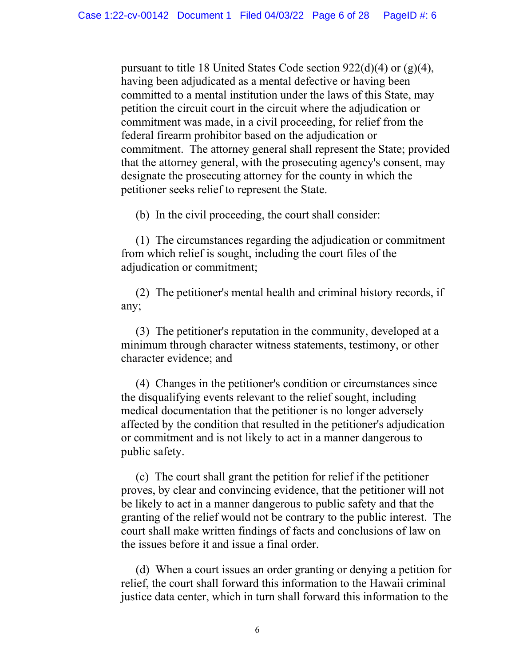pursuant to title 18 United States Code section 922(d)(4) or (g)(4), having been adjudicated as a mental defective or having been committed to a mental institution under the laws of this State, may petition the circuit court in the circuit where the adjudication or commitment was made, in a civil proceeding, for relief from the federal firearm prohibitor based on the adjudication or commitment. The attorney general shall represent the State; provided that the attorney general, with the prosecuting agency's consent, may designate the prosecuting attorney for the county in which the petitioner seeks relief to represent the State.

(b) In the civil proceeding, the court shall consider:

 (1) The circumstances regarding the adjudication or commitment from which relief is sought, including the court files of the adjudication or commitment;

 (2) The petitioner's mental health and criminal history records, if any;

 (3) The petitioner's reputation in the community, developed at a minimum through character witness statements, testimony, or other character evidence; and

 (4) Changes in the petitioner's condition or circumstances since the disqualifying events relevant to the relief sought, including medical documentation that the petitioner is no longer adversely affected by the condition that resulted in the petitioner's adjudication or commitment and is not likely to act in a manner dangerous to public safety.

 (c) The court shall grant the petition for relief if the petitioner proves, by clear and convincing evidence, that the petitioner will not be likely to act in a manner dangerous to public safety and that the granting of the relief would not be contrary to the public interest. The court shall make written findings of facts and conclusions of law on the issues before it and issue a final order.

 (d) When a court issues an order granting or denying a petition for relief, the court shall forward this information to the Hawaii criminal justice data center, which in turn shall forward this information to the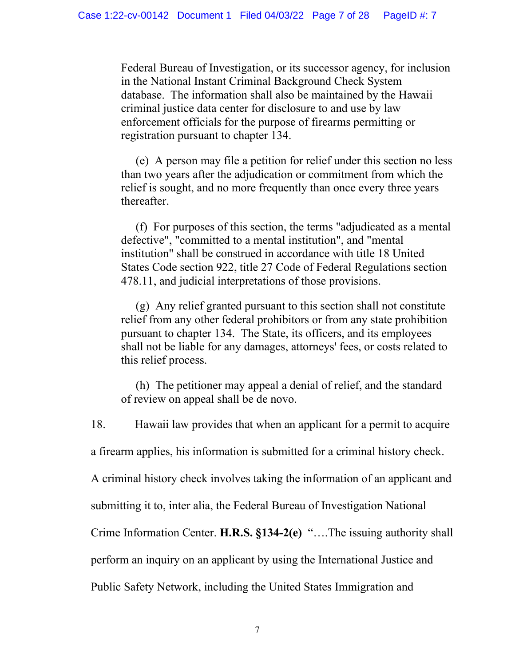Federal Bureau of Investigation, or its successor agency, for inclusion in the National Instant Criminal Background Check System database. The information shall also be maintained by the Hawaii criminal justice data center for disclosure to and use by law enforcement officials for the purpose of firearms permitting or registration pursuant to chapter 134.

 (e) A person may file a petition for relief under this section no less than two years after the adjudication or commitment from which the relief is sought, and no more frequently than once every three years thereafter.

 (f) For purposes of this section, the terms "adjudicated as a mental defective", "committed to a mental institution", and "mental institution" shall be construed in accordance with title 18 United States Code section 922, title 27 Code of Federal Regulations section 478.11, and judicial interpretations of those provisions.

 (g) Any relief granted pursuant to this section shall not constitute relief from any other federal prohibitors or from any state prohibition pursuant to chapter 134. The State, its officers, and its employees shall not be liable for any damages, attorneys' fees, or costs related to this relief process.

 (h) The petitioner may appeal a denial of relief, and the standard of review on appeal shall be de novo.

18. Hawaii law provides that when an applicant for a permit to acquire

a firearm applies, his information is submitted for a criminal history check.

A criminal history check involves taking the information of an applicant and

submitting it to, inter alia, the Federal Bureau of Investigation National

Crime Information Center. **H.R.S. §134-2(e)** "….The issuing authority shall

perform an inquiry on an applicant by using the International Justice and

Public Safety Network, including the United States Immigration and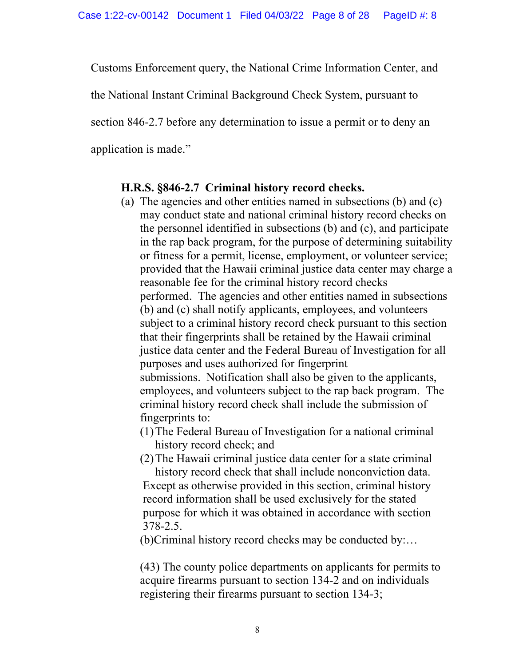Customs Enforcement query, the National Crime Information Center, and

the National Instant Criminal Background Check System, pursuant to

section 846-2.7 before any determination to issue a permit or to deny an

application is made."

# **H.R.S. §846-2.7 Criminal history record checks.**

(a) The agencies and other entities named in subsections (b) and (c) may conduct state and national criminal history record checks on the personnel identified in subsections (b) and (c), and participate in the rap back program, for the purpose of determining suitability or fitness for a permit, license, employment, or volunteer service; provided that the Hawaii criminal justice data center may charge a reasonable fee for the criminal history record checks performed. The agencies and other entities named in subsections (b) and (c) shall notify applicants, employees, and volunteers subject to a criminal history record check pursuant to this section that their fingerprints shall be retained by the Hawaii criminal justice data center and the Federal Bureau of Investigation for all purposes and uses authorized for fingerprint submissions. Notification shall also be given to the applicants, employees, and volunteers subject to the rap back program. The criminal history record check shall include the submission of fingerprints to:

(1)The Federal Bureau of Investigation for a national criminal history record check; and

(2)The Hawaii criminal justice data center for a state criminal history record check that shall include nonconviction data. Except as otherwise provided in this section, criminal history record information shall be used exclusively for the stated purpose for which it was obtained in accordance with section

378-2.5.

(b)Criminal history record checks may be conducted by:…

(43) The county police departments on applicants for permits to acquire firearms pursuant to section 134-2 and on individuals registering their firearms pursuant to section 134-3;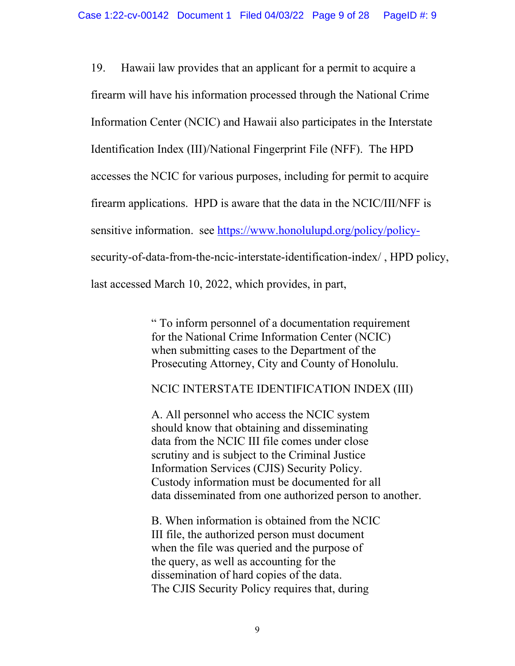19. Hawaii law provides that an applicant for a permit to acquire a firearm will have his information processed through the National Crime Information Center (NCIC) and Hawaii also participates in the Interstate Identification Index (III)/National Fingerprint File (NFF). The HPD accesses the NCIC for various purposes, including for permit to acquire firearm applications. HPD is aware that the data in the NCIC/III/NFF is sensitive information. see [https://www.honolulupd.org/policy/policy](https://www.honolulupd.org/policy/policy-)security-of-data-from-the-ncic-interstate-identification-index/ , HPD policy, last accessed March 10, 2022, which provides, in part,

> " To inform personnel of a documentation requirement for the National Crime Information Center (NCIC) when submitting cases to the Department of the Prosecuting Attorney, City and County of Honolulu.

> NCIC INTERSTATE IDENTIFICATION INDEX (III)

A. All personnel who access the NCIC system should know that obtaining and disseminating data from the NCIC III file comes under close scrutiny and is subject to the Criminal Justice Information Services (CJIS) Security Policy. Custody information must be documented for all data disseminated from one authorized person to another.

B. When information is obtained from the NCIC III file, the authorized person must document when the file was queried and the purpose of the query, as well as accounting for the dissemination of hard copies of the data. The CJIS Security Policy requires that, during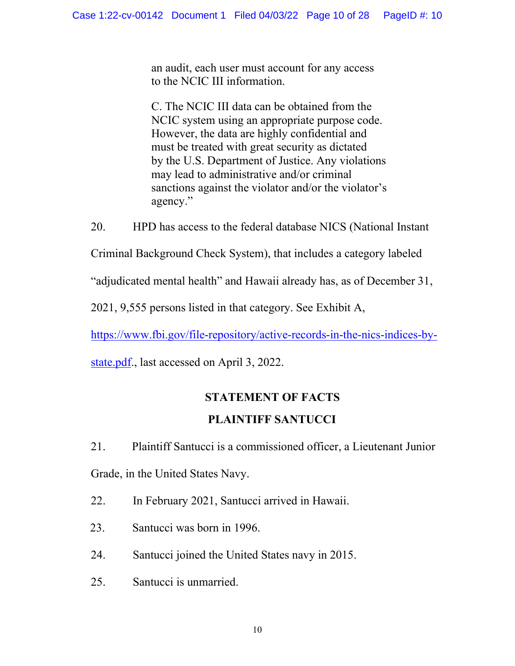an audit, each user must account for any access to the NCIC III information.

C. The NCIC III data can be obtained from the NCIC system using an appropriate purpose code. However, the data are highly confidential and must be treated with great security as dictated by the U.S. Department of Justice. Any violations may lead to administrative and/or criminal sanctions against the violator and/or the violator's agency."

20. HPD has access to the federal database NICS (National Instant

Criminal Background Check System), that includes a category labeled

"adjudicated mental health" and Hawaii already has, as of December 31,

2021, 9,555 persons listed in that category. See Exhibit A,

[https://www.fbi.gov/file-repository/active-records-in-the-nics-indices-by-](https://www.fbi.gov/file-repository/active-records-in-the-nics-indices-by-state.pdf)

[state.pdf.](https://www.fbi.gov/file-repository/active-records-in-the-nics-indices-by-state.pdf), last accessed on April 3, 2022.

# **STATEMENT OF FACTS**

# **PLAINTIFF SANTUCCI**

21. Plaintiff Santucci is a commissioned officer, a Lieutenant Junior Grade, in the United States Navy.

22. In February 2021, Santucci arrived in Hawaii.

- 23. Santucci was born in 1996.
- 24. Santucci joined the United States navy in 2015.
- 25. Santucci is unmarried.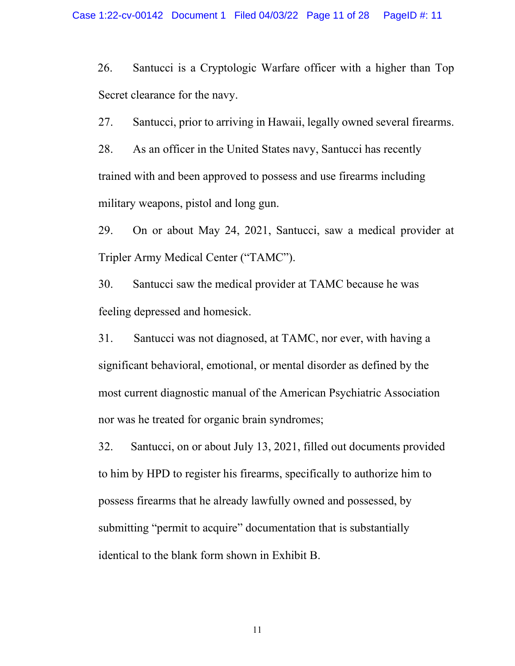26. Santucci is a Cryptologic Warfare officer with a higher than Top Secret clearance for the navy.

27. Santucci, prior to arriving in Hawaii, legally owned several firearms.

28. As an officer in the United States navy, Santucci has recently trained with and been approved to possess and use firearms including military weapons, pistol and long gun.

29. On or about May 24, 2021, Santucci, saw a medical provider at Tripler Army Medical Center ("TAMC").

30. Santucci saw the medical provider at TAMC because he was feeling depressed and homesick.

31. Santucci was not diagnosed, at TAMC, nor ever, with having a significant behavioral, emotional, or mental disorder as defined by the most current diagnostic manual of the American Psychiatric Association nor was he treated for organic brain syndromes;

32. Santucci, on or about July 13, 2021, filled out documents provided to him by HPD to register his firearms, specifically to authorize him to possess firearms that he already lawfully owned and possessed, by submitting "permit to acquire" documentation that is substantially identical to the blank form shown in Exhibit B.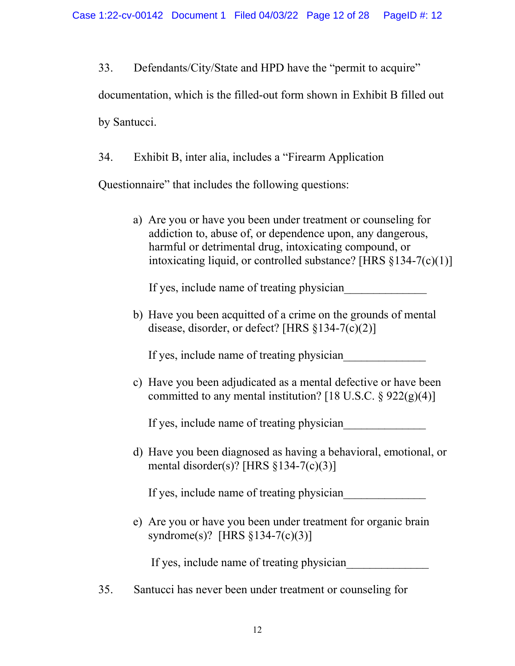33. Defendants/City/State and HPD have the "permit to acquire"

documentation, which is the filled-out form shown in Exhibit B filled out

by Santucci.

34. Exhibit B, inter alia, includes a "Firearm Application

Questionnaire" that includes the following questions:

a) Are you or have you been under treatment or counseling for addiction to, abuse of, or dependence upon, any dangerous, harmful or detrimental drug, intoxicating compound, or intoxicating liquid, or controlled substance? [HRS §134-7(c)(1)]

If yes, include name of treating physician

b) Have you been acquitted of a crime on the grounds of mental disease, disorder, or defect? [HRS §134-7(c)(2)]

If yes, include name of treating physician

c) Have you been adjudicated as a mental defective or have been committed to any mental institution? [18 U.S.C.  $\S 922(g)(4)$ ]

If yes, include name of treating physician

d) Have you been diagnosed as having a behavioral, emotional, or mental disorder(s)? [HRS §134-7(c)(3)]

If yes, include name of treating physician

e) Are you or have you been under treatment for organic brain syndrome(s)? [HRS §134-7(c)(3)]

If yes, include name of treating physician

35. Santucci has never been under treatment or counseling for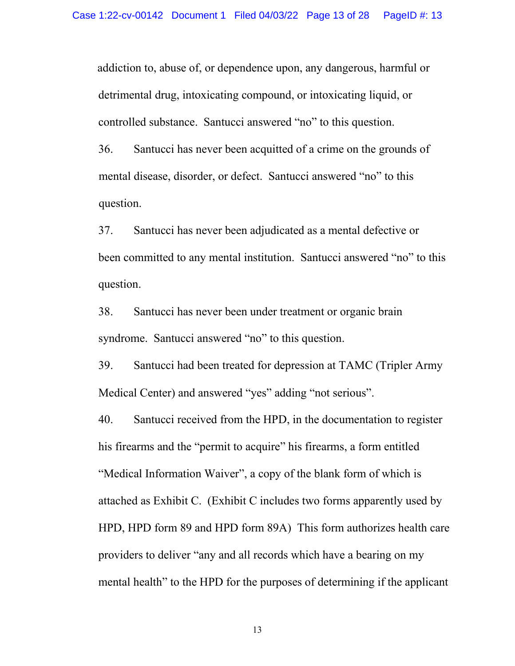addiction to, abuse of, or dependence upon, any dangerous, harmful or detrimental drug, intoxicating compound, or intoxicating liquid, or controlled substance. Santucci answered "no" to this question.

36. Santucci has never been acquitted of a crime on the grounds of mental disease, disorder, or defect. Santucci answered "no" to this question.

37. Santucci has never been adjudicated as a mental defective or been committed to any mental institution. Santucci answered "no" to this question.

38. Santucci has never been under treatment or organic brain syndrome. Santucci answered "no" to this question.

39. Santucci had been treated for depression at TAMC (Tripler Army Medical Center) and answered "yes" adding "not serious".

40. Santucci received from the HPD, in the documentation to register his firearms and the "permit to acquire" his firearms, a form entitled "Medical Information Waiver", a copy of the blank form of which is attached as Exhibit C. (Exhibit C includes two forms apparently used by HPD, HPD form 89 and HPD form 89A) This form authorizes health care providers to deliver "any and all records which have a bearing on my mental health" to the HPD for the purposes of determining if the applicant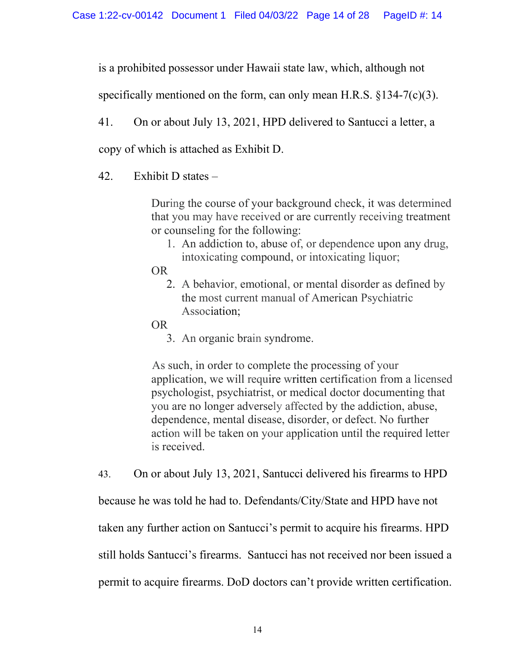is a prohibited possessor under Hawaii state law, which, although not

specifically mentioned on the form, can only mean H.R.S.  $\{134 - 7(c)(3)\}$ .

41. On or about July 13, 2021, HPD delivered to Santucci a letter, a

copy of which is attached as Exhibit D.

42. Exhibit D states –

During the course of your background check, it was determined that you may have received or are currently receiving treatment or counseling for the following:

1. An addiction to, abuse of, or dependence upon any drug, intoxicating compound, or intoxicating liquor;

OR

- 2. A behavior, emotional, or mental disorder as defined by the most current manual of American Psychiatric Association;
- OR
	- 3. An organic brain syndrome.

As such, in order to complete the processing of your application, we will require written certification from a licensed psychologist, psychiatrist, or medical doctor documenting that you are no longer adversely affected by the addiction, abuse, dependence, mental disease, disorder, or defect. No further action will be taken on your application until the required letter is received.

43. On or about July 13, 2021, Santucci delivered his firearms to HPD

because he was told he had to. Defendants/City/State and HPD have not

taken any further action on Santucci's permit to acquire his firearms. HPD

still holds Santucci's firearms. Santucci has not received nor been issued a

permit to acquire firearms. DoD doctors can't provide written certification.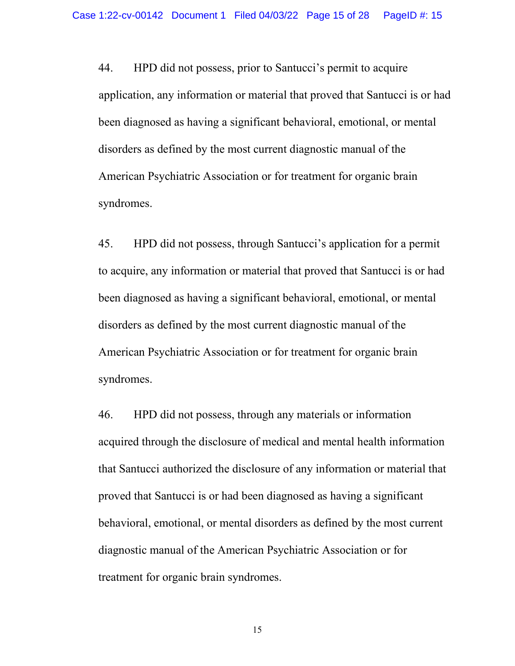44. HPD did not possess, prior to Santucci's permit to acquire application, any information or material that proved that Santucci is or had been diagnosed as having a significant behavioral, emotional, or mental disorders as defined by the most current diagnostic manual of the American Psychiatric Association or for treatment for organic brain syndromes.

45. HPD did not possess, through Santucci's application for a permit to acquire, any information or material that proved that Santucci is or had been diagnosed as having a significant behavioral, emotional, or mental disorders as defined by the most current diagnostic manual of the American Psychiatric Association or for treatment for organic brain syndromes.

46. HPD did not possess, through any materials or information acquired through the disclosure of medical and mental health information that Santucci authorized the disclosure of any information or material that proved that Santucci is or had been diagnosed as having a significant behavioral, emotional, or mental disorders as defined by the most current diagnostic manual of the American Psychiatric Association or for treatment for organic brain syndromes.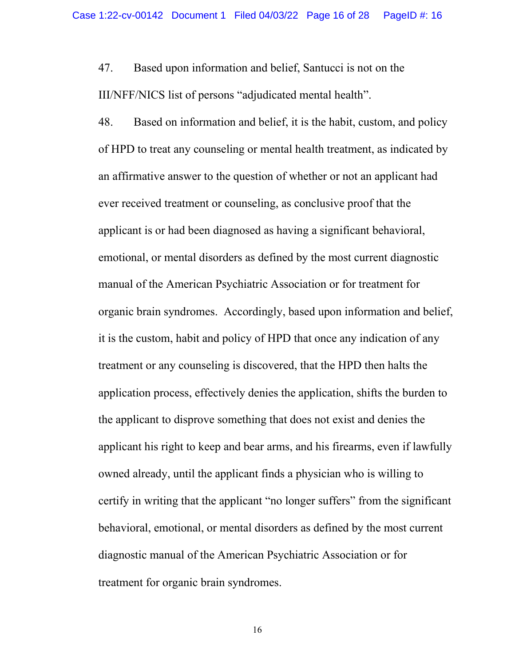47. Based upon information and belief, Santucci is not on the III/NFF/NICS list of persons "adjudicated mental health".

48. Based on information and belief, it is the habit, custom, and policy of HPD to treat any counseling or mental health treatment, as indicated by an affirmative answer to the question of whether or not an applicant had ever received treatment or counseling, as conclusive proof that the applicant is or had been diagnosed as having a significant behavioral, emotional, or mental disorders as defined by the most current diagnostic manual of the American Psychiatric Association or for treatment for organic brain syndromes. Accordingly, based upon information and belief, it is the custom, habit and policy of HPD that once any indication of any treatment or any counseling is discovered, that the HPD then halts the application process, effectively denies the application, shifts the burden to the applicant to disprove something that does not exist and denies the applicant his right to keep and bear arms, and his firearms, even if lawfully owned already, until the applicant finds a physician who is willing to certify in writing that the applicant "no longer suffers" from the significant behavioral, emotional, or mental disorders as defined by the most current diagnostic manual of the American Psychiatric Association or for treatment for organic brain syndromes.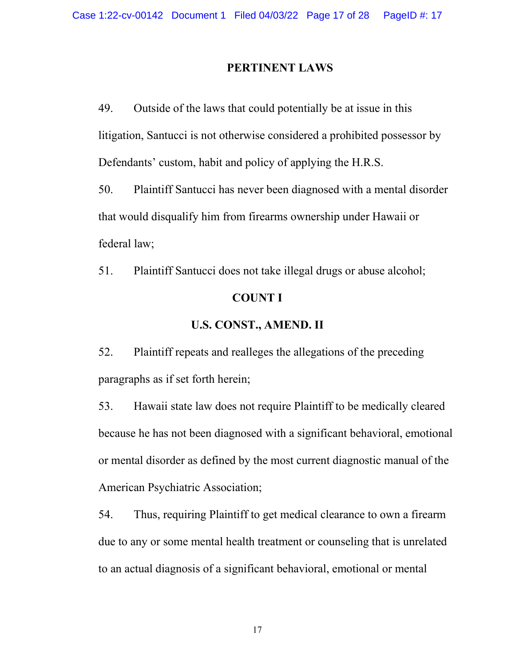#### **PERTINENT LAWS**

49. Outside of the laws that could potentially be at issue in this litigation, Santucci is not otherwise considered a prohibited possessor by Defendants' custom, habit and policy of applying the H.R.S.

50. Plaintiff Santucci has never been diagnosed with a mental disorder that would disqualify him from firearms ownership under Hawaii or federal law;

51. Plaintiff Santucci does not take illegal drugs or abuse alcohol; **COUNT I**

### **U.S. CONST., AMEND. II**

52. Plaintiff repeats and realleges the allegations of the preceding paragraphs as if set forth herein;

53. Hawaii state law does not require Plaintiff to be medically cleared because he has not been diagnosed with a significant behavioral, emotional or mental disorder as defined by the most current diagnostic manual of the American Psychiatric Association;

54. Thus, requiring Plaintiff to get medical clearance to own a firearm due to any or some mental health treatment or counseling that is unrelated to an actual diagnosis of a significant behavioral, emotional or mental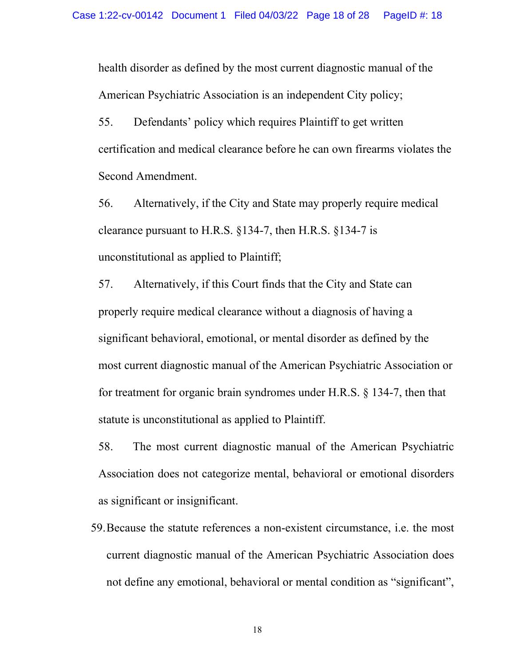health disorder as defined by the most current diagnostic manual of the American Psychiatric Association is an independent City policy;

55. Defendants' policy which requires Plaintiff to get written certification and medical clearance before he can own firearms violates the Second Amendment.

56. Alternatively, if the City and State may properly require medical clearance pursuant to H.R.S. §134-7, then H.R.S. §134-7 is unconstitutional as applied to Plaintiff;

57. Alternatively, if this Court finds that the City and State can properly require medical clearance without a diagnosis of having a significant behavioral, emotional, or mental disorder as defined by the most current diagnostic manual of the American Psychiatric Association or for treatment for organic brain syndromes under H.R.S. § 134-7, then that statute is unconstitutional as applied to Plaintiff.

58. The most current diagnostic manual of the American Psychiatric Association does not categorize mental, behavioral or emotional disorders as significant or insignificant.

59.Because the statute references a non-existent circumstance, i.e. the most current diagnostic manual of the American Psychiatric Association does not define any emotional, behavioral or mental condition as "significant",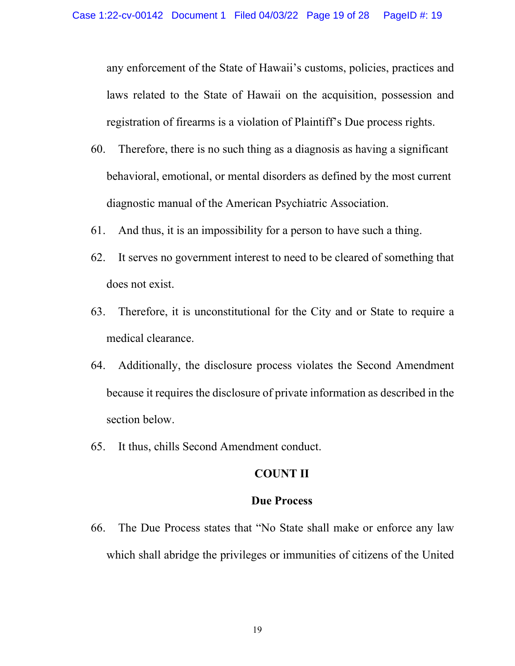any enforcement of the State of Hawaii's customs, policies, practices and laws related to the State of Hawaii on the acquisition, possession and registration of firearms is a violation of Plaintiff's Due process rights.

- 60. Therefore, there is no such thing as a diagnosis as having a significant behavioral, emotional, or mental disorders as defined by the most current diagnostic manual of the American Psychiatric Association.
- 61. And thus, it is an impossibility for a person to have such a thing.
- 62. It serves no government interest to need to be cleared of something that does not exist.
- 63. Therefore, it is unconstitutional for the City and or State to require a medical clearance.
- 64. Additionally, the disclosure process violates the Second Amendment because it requires the disclosure of private information as described in the section below.
- 65. It thus, chills Second Amendment conduct.

### **COUNT II**

#### **Due Process**

66. The Due Process states that "No State shall make or enforce any law which shall abridge the privileges or immunities of citizens of the United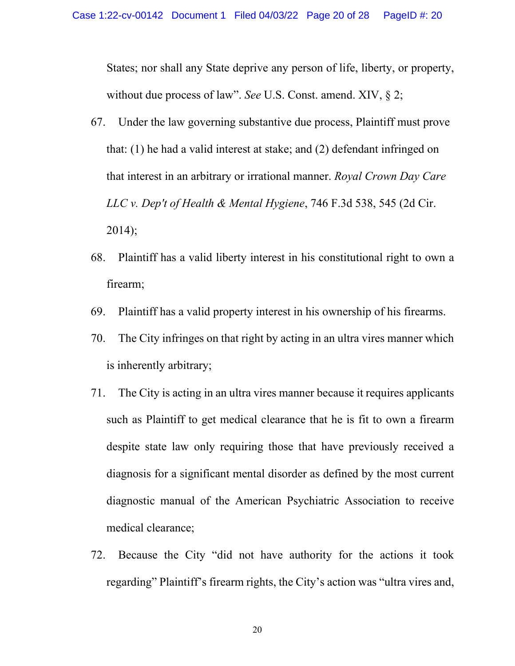States; nor shall any State deprive any person of life, liberty, or property, without due process of law". *See* U.S. Const. amend. XIV, § 2;

- 67. Under the law governing substantive due process, Plaintiff must prove that: (1) he had a valid interest at stake; and (2) defendant infringed on that interest in an arbitrary or irrational manner. *Royal Crown Day Care LLC v. Dep't of Health & Mental Hygiene*, 746 F.3d 538, 545 (2d Cir. 2014);
- 68. Plaintiff has a valid liberty interest in his constitutional right to own a firearm;
- 69. Plaintiff has a valid property interest in his ownership of his firearms.
- 70. The City infringes on that right by acting in an ultra vires manner which is inherently arbitrary;
- 71. The City is acting in an ultra vires manner because it requires applicants such as Plaintiff to get medical clearance that he is fit to own a firearm despite state law only requiring those that have previously received a diagnosis for a significant mental disorder as defined by the most current diagnostic manual of the American Psychiatric Association to receive medical clearance;
- 72. Because the City "did not have authority for the actions it took regarding" Plaintiff's firearm rights, the City's action was "ultra vires and,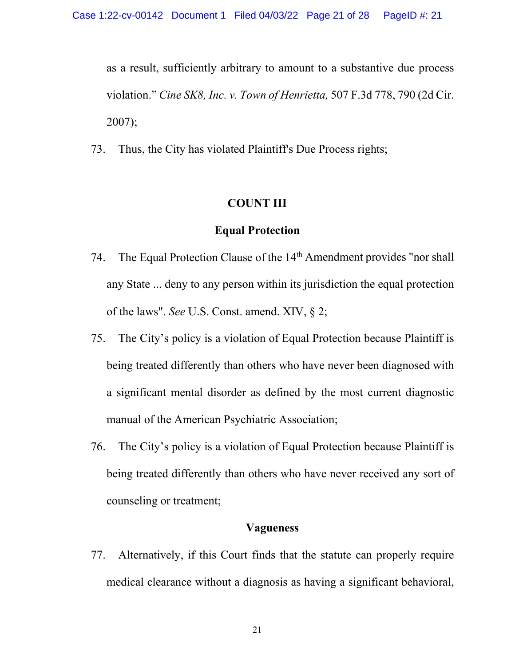as a result, sufficiently arbitrary to amount to a substantive due process violation." *Cine SK8, Inc. v. Town of Henrietta,* 507 F.3d 778, 790 (2d Cir. 2007);

73. Thus, the City has violated Plaintiff's Due Process rights;

## **COUNT III**

### **Equal Protection**

- 74. The Equal Protection Clause of the  $14<sup>th</sup>$  Amendment provides "nor shall any State ... deny to any person within its jurisdiction the equal protection of the laws". *See* U.S. Const. amend. XIV, § 2;
- 75. The City's policy is a violation of Equal Protection because Plaintiff is being treated differently than others who have never been diagnosed with a significant mental disorder as defined by the most current diagnostic manual of the American Psychiatric Association;
- 76. The City's policy is a violation of Equal Protection because Plaintiff is being treated differently than others who have never received any sort of counseling or treatment;

### **Vagueness**

77. Alternatively, if this Court finds that the statute can properly require medical clearance without a diagnosis as having a significant behavioral,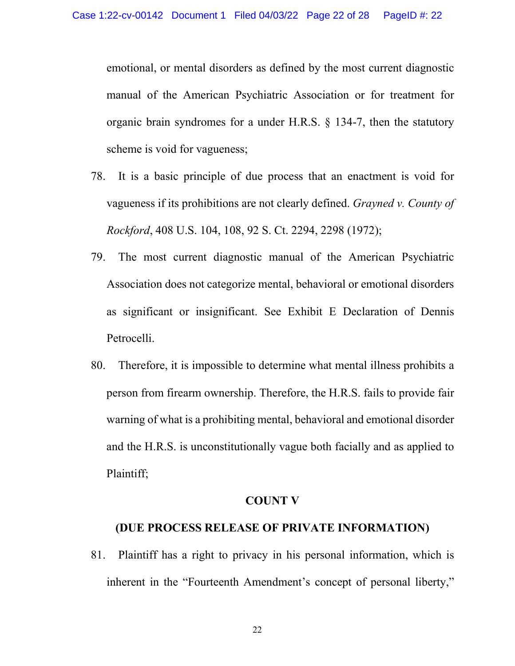emotional, or mental disorders as defined by the most current diagnostic manual of the American Psychiatric Association or for treatment for organic brain syndromes for a under H.R.S. § 134-7, then the statutory scheme is void for vagueness;

- 78. It is a basic principle of due process that an enactment is void for vagueness if its prohibitions are not clearly defined. *Grayned v. County of Rockford*, 408 U.S. 104, 108, 92 S. Ct. 2294, 2298 (1972);
- 79. The most current diagnostic manual of the American Psychiatric Association does not categorize mental, behavioral or emotional disorders as significant or insignificant. See Exhibit E Declaration of Dennis Petrocelli.
- 80. Therefore, it is impossible to determine what mental illness prohibits a person from firearm ownership. Therefore, the H.R.S. fails to provide fair warning of what is a prohibiting mental, behavioral and emotional disorder and the H.R.S. is unconstitutionally vague both facially and as applied to Plaintiff;

#### **COUNT V**

### **(DUE PROCESS RELEASE OF PRIVATE INFORMATION)**

81. Plaintiff has a right to privacy in his personal information, which is inherent in the "Fourteenth Amendment's concept of personal liberty,"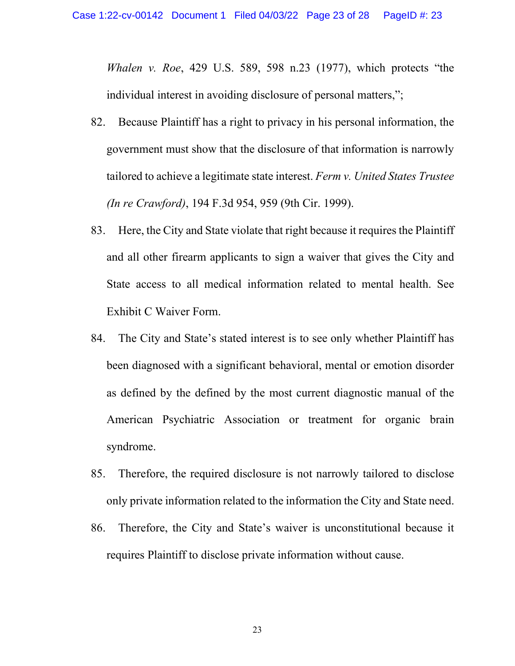*Whalen v. Roe*, 429 U.S. 589, 598 n.23 (1977), which protects "the individual interest in avoiding disclosure of personal matters,";

- 82. Because Plaintiff has a right to privacy in his personal information, the government must show that the disclosure of that information is narrowly tailored to achieve a legitimate state interest. *Ferm v. United States Trustee (In re Crawford)*, 194 F.3d 954, 959 (9th Cir. 1999).
- 83. Here, the City and State violate that right because it requires the Plaintiff and all other firearm applicants to sign a waiver that gives the City and State access to all medical information related to mental health. See Exhibit C Waiver Form.
- 84. The City and State's stated interest is to see only whether Plaintiff has been diagnosed with a significant behavioral, mental or emotion disorder as defined by the defined by the most current diagnostic manual of the American Psychiatric Association or treatment for organic brain syndrome.
- 85. Therefore, the required disclosure is not narrowly tailored to disclose only private information related to the information the City and State need.
- 86. Therefore, the City and State's waiver is unconstitutional because it requires Plaintiff to disclose private information without cause.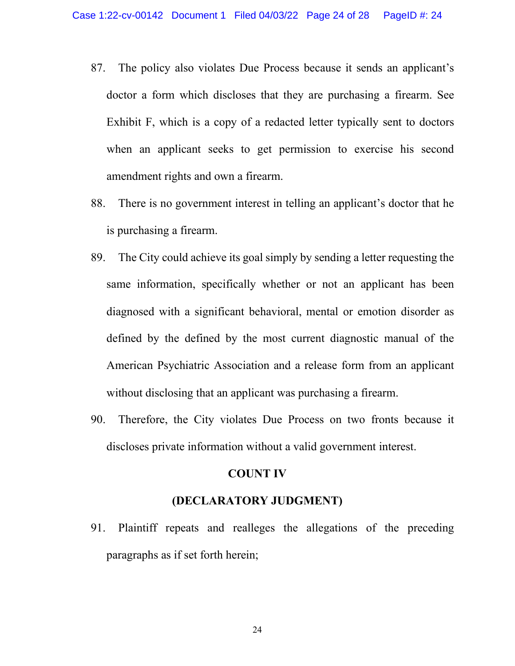- 87. The policy also violates Due Process because it sends an applicant's doctor a form which discloses that they are purchasing a firearm. See Exhibit F, which is a copy of a redacted letter typically sent to doctors when an applicant seeks to get permission to exercise his second amendment rights and own a firearm.
- 88. There is no government interest in telling an applicant's doctor that he is purchasing a firearm.
- 89. The City could achieve its goal simply by sending a letter requesting the same information, specifically whether or not an applicant has been diagnosed with a significant behavioral, mental or emotion disorder as defined by the defined by the most current diagnostic manual of the American Psychiatric Association and a release form from an applicant without disclosing that an applicant was purchasing a firearm.
- 90. Therefore, the City violates Due Process on two fronts because it discloses private information without a valid government interest.

#### **COUNT IV**

### **(DECLARATORY JUDGMENT)**

91. Plaintiff repeats and realleges the allegations of the preceding paragraphs as if set forth herein;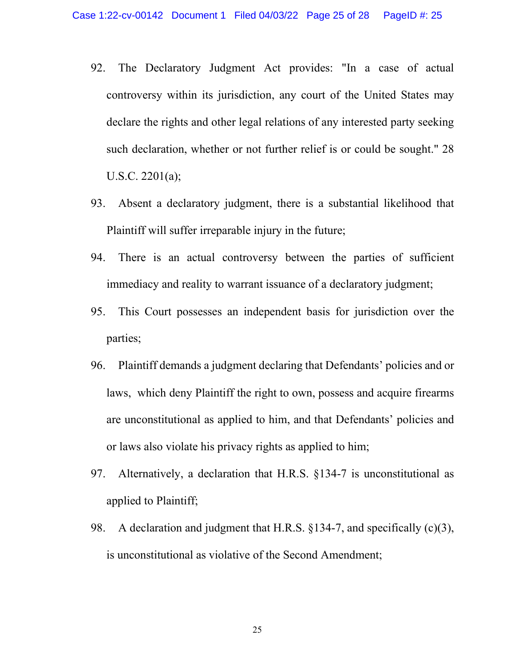- 92. The Declaratory Judgment Act provides: "In a case of actual controversy within its jurisdiction, any court of the United States may declare the rights and other legal relations of any interested party seeking such declaration, whether or not further relief is or could be sought." 28 U.S.C. 2201(a);
- 93. Absent a declaratory judgment, there is a substantial likelihood that Plaintiff will suffer irreparable injury in the future;
- 94. There is an actual controversy between the parties of sufficient immediacy and reality to warrant issuance of a declaratory judgment;
- 95. This Court possesses an independent basis for jurisdiction over the parties;
- 96. Plaintiff demands a judgment declaring that Defendants' policies and or laws, which deny Plaintiff the right to own, possess and acquire firearms are unconstitutional as applied to him, and that Defendants' policies and or laws also violate his privacy rights as applied to him;
- 97. Alternatively, a declaration that H.R.S. §134-7 is unconstitutional as applied to Plaintiff;
- 98. A declaration and judgment that H.R.S. §134-7, and specifically (c)(3), is unconstitutional as violative of the Second Amendment;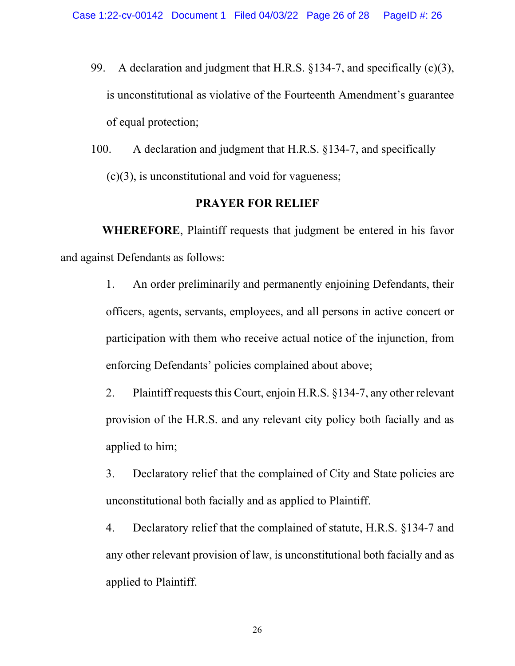- 99. A declaration and judgment that H.R.S. §134-7, and specifically (c)(3), is unconstitutional as violative of the Fourteenth Amendment's guarantee of equal protection;
- 100. A declaration and judgment that H.R.S. §134-7, and specifically  $(c)(3)$ , is unconstitutional and void for vagueness;

## **PRAYER FOR RELIEF**

**WHEREFORE**, Plaintiff requests that judgment be entered in his favor and against Defendants as follows:

> 1. An order preliminarily and permanently enjoining Defendants, their officers, agents, servants, employees, and all persons in active concert or participation with them who receive actual notice of the injunction, from enforcing Defendants' policies complained about above;

> 2. Plaintiff requests this Court, enjoin H.R.S. §134-7, any other relevant provision of the H.R.S. and any relevant city policy both facially and as applied to him;

> 3. Declaratory relief that the complained of City and State policies are unconstitutional both facially and as applied to Plaintiff.

> 4. Declaratory relief that the complained of statute, H.R.S. §134-7 and any other relevant provision of law, is unconstitutional both facially and as applied to Plaintiff.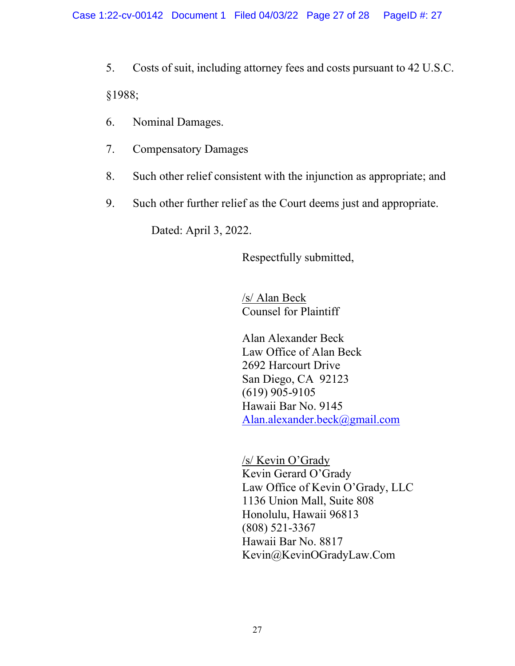5. Costs of suit, including attorney fees and costs pursuant to 42 U.S.C. §1988;

- 6. Nominal Damages.
- 7. Compensatory Damages
- 8. Such other relief consistent with the injunction as appropriate; and
- 9. Such other further relief as the Court deems just and appropriate.

Dated: April 3, 2022.

Respectfully submitted,

/s/ Alan Beck Counsel for Plaintiff

Alan Alexander Beck Law Office of Alan Beck 2692 Harcourt Drive San Diego, CA 92123 (619) 905-9105 Hawaii Bar No. 9145 [Alan.alexander.beck@gmail.com](mailto:Alan.alexander.beck@gmail.com) 

/s/ Kevin O'Grady Kevin Gerard O'Grady Law Office of Kevin O'Grady, LLC 1136 Union Mall, Suite 808 Honolulu, Hawaii 96813 (808) 521-3367 Hawaii Bar No. 8817 Kevin@KevinOGradyLaw.Com